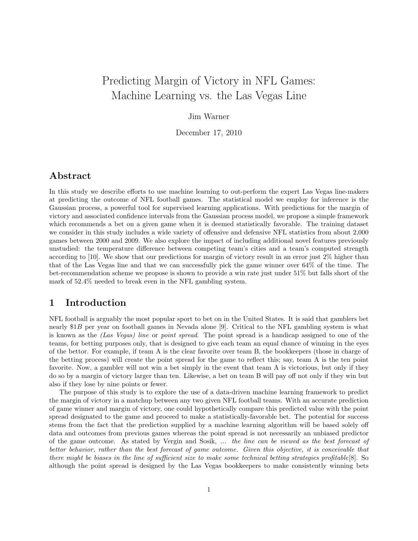# Predicting Margin of Victory in NFL Games: Machine Learning vs. the Las Vegas Line

#### Jim Warner

December 17, 2010

## Abstract

In this study we describe efforts to use machine learning to out-perform the expert Las Vegas line-makers at predicting the outcome of NFL football games. The statistical model we employ for inference is the Gaussian process, a powerful tool for supervised learning applications. With predictions for the margin of victory and associated confidence intervals from the Gaussian process model, we propose a simple framework which recommends a bet on a given game when it is deemed statistically favorable. The training dataset we consider in this study includes a wide variety of offensive and defensive NFL statistics from about 2,000 games between 2000 and 2009. We also explore the impact of including additional novel features previously unstudied: the temperature difference between competing team's cities and a team's computed strength according to [10]. We show that our predictions for margin of victory result in an error just 2% higher than that of the Las Vegas line and that we can successfully pick the game winner over 64% of the time. The bet-recommendation scheme we propose is shown to provide a win rate just under 51% but falls short of the mark of 52.4% needed to break even in the NFL gambling system.

### 1 Introduction

NFL football is arguably the most popular sport to bet on in the United States. It is said that gamblers bet nearly \$1B per year on football games in Nevada alone [9]. Critical to the NFL gambling system is what is known as the (Las Vegas) line or point spread. The point spread is a handicap assigned to one of the teams, for betting purposes only, that is designed to give each team an equal chance of winning in the eyes of the bettor. For example, if team A is the clear favorite over team B, the bookkeepers (those in charge of the betting process) will create the point spread for the game to reflect this; say, team A is the ten point favorite. Now, a gambler will not win a bet simply in the event that team A is victorious, but only if they do so by a margin of victory larger than ten. Likewise, a bet on team B will pay off not only if they win but also if they lose by nine points or fewer.

The purpose of this study is to explore the use of a data-driven machine learning framework to predict the margin of victory in a matchup between any two given NFL football teams. With an accurate prediction of game winner and margin of victory, one could hypothetically compare this predicted value with the point spread designated to the game and proceed to make a statistically-favorable bet. The potential for success stems from the fact that the prediction supplied by a machine learning algorithm will be based solely off data and outcomes from previous games whereas the point spread is not necessarily an unbiased predictor of the game outcome. As stated by Vergin and Sosik, ... the line can be viewed as the best forecast of bettor behavior, rather than the best forecast of game outcome. Given this objective, it is conceivable that there might be biases in the line of sufficient size to make some technical betting strategies profitable[8]. So although the point spread is designed by the Las Vegas bookkeepers to make consistently winning bets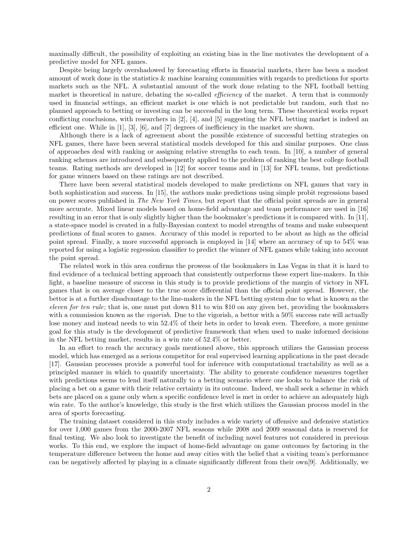maximally difficult, the possibility of exploiting an existing bias in the line motivates the development of a predictive model for NFL games.

Despite being largely overshadowed by forecasting efforts in financial markets, there has been a modest amount of work done in the statistics & machine learning communities with regards to predictions for sports markets such as the NFL. A substantial amount of the work done relating to the NFL football betting market is theoretical in nature, debating the so-called *efficiency* of the market. A term that is commonly used in financial settings, an efficient market is one which is not predictable but random, such that no planned approach to betting or investing can be successful in the long term. These theoretical works report conflicting conclusions, with researchers in [2], [4], and [5] suggesting the NFL betting market is indeed an efficient one. While in [1], [3], [6], and [7] degrees of inefficiency in the market are shown.

Although there is a lack of agreement about the possible existence of successful betting strategies on NFL games, there have been several statistical models developed for this and similar purposes. One class of approaches deal with ranking or assigning relative strengths to each team. In [10], a number of general ranking schemes are introduced and subsequently applied to the problem of ranking the best college football teams. Rating methods are developed in [12] for soccer teams and in [13] for NFL teams, but predictions for game winners based on these ratings are not described.

There have been several statistical models developed to make predictions on NFL games that vary in both sophistication and success. In [15], the authors make predictions using simple probit regressions based on power scores published in The New York Times, but report that the official point spreads are in general more accurate. Mixed linear models based on home-field advantage and team performance are used in [16] resulting in an error that is only slightly higher than the bookmaker's predictions it is compared with. In [11], a state-space model is created in a fully-Bayesian context to model strengths of teams and make subsequent predictions of final scores to games. Accuracy of this model is reported to be about as high as the official point spread. Finally, a more successful approach is employed in [14] where an accuracy of up to 54% was reported for using a logistic regression classifier to predict the winner of NFL games while taking into account the point spread.

The related work in this area confirms the prowess of the bookmakers in Las Vegas in that it is hard to find evidence of a technical betting approach that consistently outperforms these expert line-makers. In this light, a baseline measure of success in this study is to provide predictions of the margin of victory in NFL games that is on average closer to the true score differential than the official point spread. However, the bettor is at a further disadvantage to the line-makers in the NFL betting system due to what is known as the eleven for ten rule; that is, one must put down \$11 to win \$10 on any given bet, providing the bookmakers with a commission known as the *vigorish*. Due to the vigorish, a bettor with a 50% success rate will actually lose money and instead needs to win 52.4% of their bets in order to break even. Therefore, a more geniune goal for this study is the development of predictive framework that when used to make informed decisions in the NFL betting market, results in a win rate of 52.4% or better.

In an effort to reach the accuracy goals mentioned above, this approach utilizes the Gaussian process model, which has emerged as a serious competitor for real supervised learning applications in the past decade [17]. Gaussian processes provide a powerful tool for inference with computational tractability as well as a principled manner in which to quantify uncertainty. The ability to generate confidence measures together with predictions seems to lend itself naturally to a betting scenario where one looks to balance the risk of placing a bet on a game with their relative certainty in its outcome. Indeed, we shall seek a scheme in which bets are placed on a game only when a specific confidence level is met in order to achieve an adequately high win rate. To the author's knowledge, this study is the first which utilizes the Gaussian process model in the area of sports forecasting.

The training dataset considered in this study includes a wide variety of offensive and defensive statistics for over 1,000 games from the 2000-2007 NFL seasons while 2008 and 2009 seasonal data is reserved for final testing. We also look to investigate the benefit of including novel features not considered in previous works. To this end, we explore the impact of home-field advantage on game outcomes by factoring in the temperature difference between the home and away cities with the belief that a visiting team's performance can be negatively affected by playing in a climate significantly different from their own[9]. Additionally, we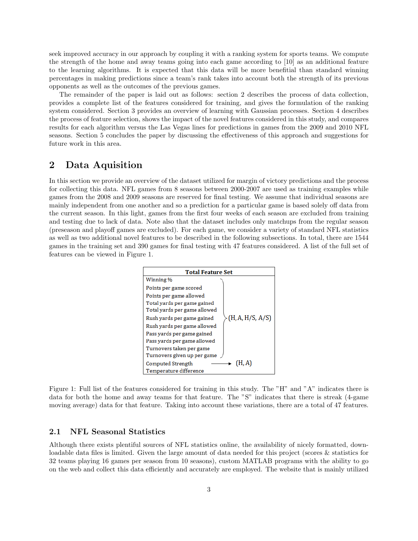seek improved accuracy in our approach by coupling it with a ranking system for sports teams. We compute the strength of the home and away teams going into each game according to [10] as an additional feature to the learning algorithms. It is expected that this data will be more benefitial than standard winning percentages in making predictions since a team's rank takes into account both the strength of its previous opponents as well as the outcomes of the previous games.

The remainder of the paper is laid out as follows: section 2 describes the process of data collection, provides a complete list of the features considered for training, and gives the formulation of the ranking system considered. Section 3 provides an overview of learning with Gaussian processes. Section 4 describes the process of feature selection, shows the impact of the novel features considered in this study, and compares results for each algorithm versus the Las Vegas lines for predictions in games from the 2009 and 2010 NFL seasons. Section 5 concludes the paper by discussing the effectiveness of this approach and suggestions for future work in this area.

# 2 Data Aquisition

In this section we provide an overview of the dataset utilized for margin of victory predictions and the process for collecting this data. NFL games from 8 seasons between 2000-2007 are used as training examples while games from the 2008 and 2009 seasons are reserved for final testing. We assume that individual seasons are mainly independent from one another and so a prediction for a particular game is based solely off data from the current season. In this light, games from the first four weeks of each season are excluded from training and testing due to lack of data. Note also that the dataset includes only matchups from the regular season (preseason and playoff games are excluded). For each game, we consider a variety of standard NFL statistics as well as two additional novel features to be described in the following subsections. In total, there are 1544 games in the training set and 390 games for final testing with 47 features considered. A list of the full set of features can be viewed in Figure 1.



Figure 1: Full list of the features considered for training in this study. The "H" and "A" indicates there is data for both the home and away teams for that feature. The "S" indicates that there is streak (4-game moving average) data for that feature. Taking into account these variations, there are a total of 47 features.

#### 2.1 NFL Seasonal Statistics

Although there exists plentiful sources of NFL statistics online, the availability of nicely formatted, downloadable data files is limited. Given the large amount of data needed for this project (scores & statistics for 32 teams playing 16 games per season from 10 seasons), custom MATLAB programs with the ability to go on the web and collect this data efficiently and accurately are employed. The website that is mainly utilized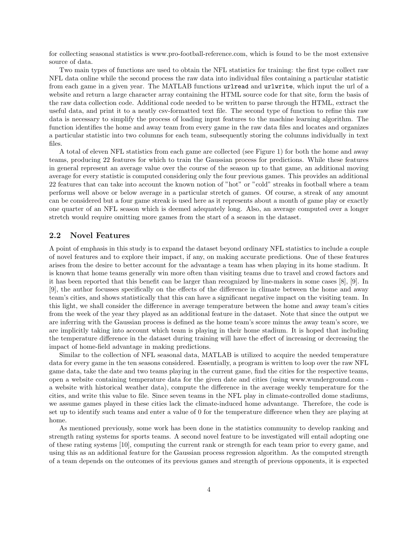for collecting seasonal statistics is www.pro-football-reference.com, which is found to be the most extensive source of data.

Two main types of functions are used to obtain the NFL statistics for training: the first type collect raw NFL data online while the second process the raw data into individual files containing a particular statistic from each game in a given year. The MATLAB functions urlread and urlwrite, which input the url of a website and return a large character array containing the HTML source code for that site, form the basis of the raw data collection code. Additional code needed to be written to parse through the HTML, extract the useful data, and print it to a neatly csv-formatted text file. The second type of function to refine this raw data is necessary to simplify the process of loading input features to the machine learning algorithm. The function identifies the home and away team from every game in the raw data files and locates and organizes a particular statistic into two columns for each team, subsequently storing the columns individually in text files.

A total of eleven NFL statistics from each game are collected (see Figure 1) for both the home and away teams, producing 22 features for which to train the Gaussian process for predictions. While these features in general represent an average value over the course of the season up to that game, an additional moving average for every statistic is computed considering only the four previous games. This provides an additional 22 features that can take into account the known notion of "hot" or "cold" streaks in football where a team performs well above or below average in a particular stretch of games. Of course, a streak of any amount can be considered but a four game streak is used here as it represents about a month of game play or exactly one quarter of an NFL season which is deemed adequately long. Also, an average computed over a longer stretch would require omitting more games from the start of a season in the dataset.

#### 2.2 Novel Features

A point of emphasis in this study is to expand the dataset beyond ordinary NFL statistics to include a couple of novel features and to explore their impact, if any, on making accurate predictions. One of these features arises from the desire to better account for the advantage a team has when playing in its home stadium. It is known that home teams generally win more often than visiting teams due to travel and crowd factors and it has been reported that this benefit can be larger than recognized by line-makers in some cases [8], [9]. In [9], the author focusses specifically on the effects of the difference in climate between the home and away team's cities, and shows statistically that this can have a significant negative impact on the visiting team. In this light, we shall consider the difference in average temperature between the home and away team's cities from the week of the year they played as an additional feature in the dataset. Note that since the output we are inferring with the Gaussian process is defined as the home team's score minus the away team's score, we are implicitly taking into account which team is playing in their home stadium. It is hoped that including the temperature difference in the dataset during training will have the effect of increasing or decreasing the impact of home-field advantage in making predictions.

Similar to the collection of NFL seasonal data, MATLAB is utilized to acquire the needed temperature data for every game in the ten seasons considered. Essentially, a program is written to loop over the raw NFL game data, take the date and two teams playing in the current game, find the cities for the respective teams, open a website containing temperature data for the given date and cities (using www.wunderground.com a website with historical weather data), compute the difference in the average weekly temperature for the cities, and write this value to file. Since seven teams in the NFL play in climate-controlled dome stadiums, we assume games played in these cities lack the climate-induced home advantange. Therefore, the code is set up to identify such teams and enter a value of 0 for the temperature difference when they are playing at home.

As mentioned previously, some work has been done in the statistics community to develop ranking and strength rating systems for sports teams. A second novel feature to be investigated will entail adopting one of these rating systems [10], computing the current rank or strength for each team prior to every game, and using this as an additional feature for the Gaussian process regression algorithm. As the computed strength of a team depends on the outcomes of its previous games and strength of previous opponents, it is expected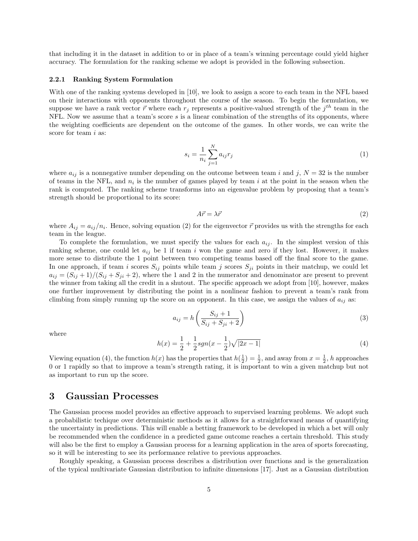that including it in the dataset in addition to or in place of a team's winning percentage could yield higher accuracy. The formulation for the ranking scheme we adopt is provided in the following subsection.

#### 2.2.1 Ranking System Formulation

With one of the ranking systems developed in [10], we look to assign a score to each team in the NFL based on their interactions with opponents throughout the course of the season. To begin the formulation, we suppose we have a rank vector  $\vec{r}$  where each  $r_j$  represents a positive-valued strength of the  $j^{th}$  team in the NFL. Now we assume that a team's score  $s$  is a linear combination of the strengths of its opponents, where the weighting coefficients are dependent on the outcome of the games. In other words, we can write the score for team *i* as:

$$
s_i = \frac{1}{n_i} \sum_{j=1}^{N} a_{ij} r_j
$$
 (1)

where  $a_{ij}$  is a nonnegative number depending on the outcome between team i and j,  $N = 32$  is the number of teams in the NFL, and  $n_i$  is the number of games played by team i at the point in the season when the rank is computed. The ranking scheme transforms into an eigenvalue problem by proposing that a team's strength should be proportional to its score:

$$
A\vec{r} = \lambda \vec{r} \tag{2}
$$

where  $A_{ij} = a_{ij}/n_i$ . Hence, solving equation (2) for the eigenvector  $\vec{r}$  provides us with the strengths for each team in the league.

To complete the formulation, we must specify the values for each  $a_{ij}$ . In the simplest version of this ranking scheme, one could let  $a_{ij}$  be 1 if team i won the game and zero if they lost. However, it makes more sense to distribute the 1 point between two competing teams based off the final score to the game. In one approach, if team i scores  $S_{ij}$  points while team j scores  $S_{ji}$  points in their matchup, we could let  $a_{ij} = (S_{ij} + 1)/(S_{ij} + S_{ji} + 2)$ , where the 1 and 2 in the numerator and denominator are present to prevent the winner from taking all the credit in a shutout. The specific approach we adopt from [10], however, makes one further improvement by distributing the point in a nonlinear fashion to prevent a team's rank from climbing from simply running up the score on an opponent. In this case, we assign the values of  $a_{ij}$  as:

$$
a_{ij} = h\left(\frac{S_{ij} + 1}{S_{ij} + S_{ji} + 2}\right) \tag{3}
$$

where

$$
h(x) = \frac{1}{2} + \frac{1}{2}sgn(x - \frac{1}{2})\sqrt{|2x - 1|}
$$
\n(4)

Viewing equation (4), the function  $h(x)$  has the properties that  $h(\frac{1}{2}) = \frac{1}{2}$ , and away from  $x = \frac{1}{2}$ , h approaches 0 or 1 rapidly so that to improve a team's strength rating, it is important to win a given matchup but not as important to run up the score.

### 3 Gaussian Processes

The Gaussian process model provides an effective approach to supervised learning problems. We adopt such a probabilistic techique over deterministic methods as it allows for a straightforward means of quantifying the uncertainty in predictions. This will enable a betting framework to be developed in which a bet will only be recommended when the confidence in a predicted game outcome reaches a certain threshold. This study will also be the first to employ a Gaussian process for a learning application in the area of sports forecasting. so it will be interesting to see its performance relative to previous approaches.

Roughly speaking, a Gaussian process describes a distribution over functions and is the generalization of the typical multivariate Gaussian distribution to infinite dimensions [17]. Just as a Gaussian distribution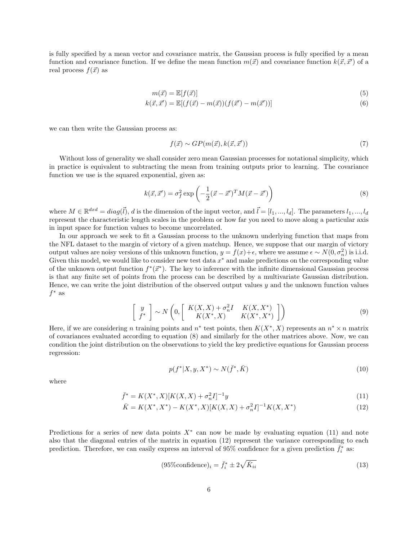is fully specified by a mean vector and covariance matrix, the Gaussian process is fully specified by a mean function and covariance function. If we define the mean function  $m(\vec{x})$  and covariance function  $k(\vec{x}, \vec{x}')$  of a real process  $f(\vec{x})$  as

$$
m(\vec{x}) = \mathbb{E}[f(\vec{x})] \tag{5}
$$

$$
k(\vec{x}, \vec{x}') = \mathbb{E}[(f(\vec{x}) - m(\vec{x}))(f(\vec{x}') - m(\vec{x}'))]
$$
\n(6)

we can then write the Gaussian process as:

$$
f(\vec{x}) \sim GP(m(\vec{x}), k(\vec{x}, \vec{x}')) \tag{7}
$$

Without loss of generality we shall consider zero mean Gaussian processes for notational simplicity, which in practice is equivalent to subtracting the mean from training outputs prior to learning. The covariance function we use is the squared exponential, given as:

$$
k(\vec{x}, \vec{x}') = \sigma_f^2 \exp\left(-\frac{1}{2}(\vec{x} - \vec{x}')^T M (\vec{x} - \vec{x}')\right)
$$
\n(8)

where  $M \in \mathbb{R}^{dxd} = diag(\vec{l}), d$  is the dimension of the input vector, and  $\vec{l} = [l_1, ..., l_d]$ . The parameters  $l_1, ..., l_d$ represent the characteristic length scales in the problem or how far you need to move along a particular axis in input space for function values to become uncorrelated.

In our approach we seek to fit a Gaussian process to the unknown underlying function that maps from the NFL dataset to the margin of victory of a given matchup. Hence, we suppose that our margin of victory output values are noisy versions of this unknown function,  $y = f(x) + \epsilon$ , where we assume  $\epsilon \sim N(0, \sigma_n^2)$  is i.i.d. Given this model, we would like to consider new test data  $x^*$  and make predictions on the corresponding value of the unknown output function  $f^*(\vec{x}^*)$ . The key to inference with the infinite dimensional Gaussian process is that any finite set of points from the process can be described by a multivariate Gaussian distribution. Hence, we can write the joint distribution of the observed output values  $y$  and the unknown function values  $f^*$  as

$$
\begin{bmatrix} y \\ f^* \end{bmatrix} \sim N \left( 0, \begin{bmatrix} K(X,X) + \sigma_n^2 I & K(X,X^*) \\ K(X^*,X) & K(X^*,X^*) \end{bmatrix} \right) \tag{9}
$$

Here, if we are considering n training points and  $n^*$  test points, then  $K(X^*, X)$  represents an  $n^* \times n$  matrix of covariances evaluated according to equation (8) and similarly for the other matrices above. Now, we can condition the joint distribution on the observations to yield the key predictive equations for Gaussian process regression:

$$
p(f^*|X, y, X^*) \sim N(\bar{f}^*, \bar{K})
$$
\n<sup>(10)</sup>

where

$$
\bar{f}^* = K(X^*, X)[K(X, X) + \sigma_n^2 I]^{-1}y
$$
\n(11)

$$
\bar{K} = K(X^*, X^*) - K(X^*, X)[K(X, X) + \sigma_n^2 I]^{-1} K(X, X^*)
$$
\n(12)

Predictions for a series of new data points  $X^*$  can now be made by evaluating equation (11) and note also that the diagonal entries of the matrix in equation (12) represent the variance corresponding to each prediction. Therefore, we can easily express an interval of 95% confidence for a given prediction  $\bar{f}_i^*$  as:

$$
(95\% confidence)_i = \bar{f}_i^* \pm 2\sqrt{\bar{K}_{ii}} \tag{13}
$$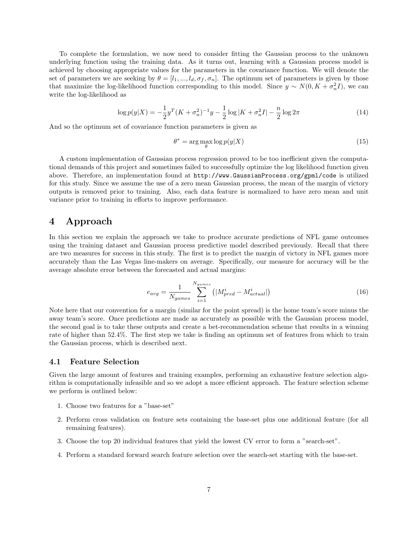To complete the formulation, we now need to consider fitting the Gaussian process to the unknown underlying function using the training data. As it turns out, learning with a Gaussian process model is achieved by choosing appropriate values for the parameters in the covariance function. We will denote the set of parameters we are seeking by  $\theta = [l_1, ..., l_d, \sigma_f, \sigma_n]$ . The optimum set of parameters is given by those that maximize the log-likelihood function corresponding to this model. Since  $y \sim N(0, K + \sigma_n^2 I)$ , we can write the log-likelihood as

$$
\log p(y|X) = -\frac{1}{2}y^T(K + \sigma_n^2)^{-1}y - \frac{1}{2}\log|K + \sigma_n^2I| - \frac{n}{2}\log 2\pi
$$
\n(14)

And so the optimum set of covariance function parameters is given as

$$
\theta^* = \arg\max_{\theta} \log p(y|X) \tag{15}
$$

A custom implementation of Gaussian process regression proved to be too inefficient given the computational demands of this project and sometimes failed to successfully optimize the log likelihood function given above. Therefore, an implementation found at http://www.GaussianProcess.org/gpml/code is utilized for this study. Since we assume the use of a zero mean Gaussian process, the mean of the margin of victory outputs is removed prior to training. Also, each data feature is normalized to have zero mean and unit variance prior to training in efforts to improve performance.

## 4 Approach

In this section we explain the approach we take to produce accurate predictions of NFL game outcomes using the training dataset and Gaussian process predictive model described previously. Recall that there are two measures for success in this study. The first is to predict the margin of victory in NFL games more accurately than the Las Vegas line-makers on average. Specifically, our measure for accuracy will be the average absolute error between the forecasted and actual margins:

$$
e_{avg} = \frac{1}{N_{games}} \sum_{i=1}^{N_{games}} \left( |M_{pred}^{i} - M_{actual}^{i}| \right)
$$
 (16)

Note here that our convention for a margin (similar for the point spread) is the home team's score minus the away team's score. Once predictions are made as accurately as possible with the Gaussian process model, the second goal is to take these outputs and create a bet-recommendation scheme that results in a winning rate of higher than 52.4%. The first step we take is finding an optimum set of features from which to train the Gaussian process, which is described next.

#### 4.1 Feature Selection

Given the large amount of features and training examples, performing an exhaustive feature selection algorithm is computationally infeasible and so we adopt a more efficient approach. The feature selection scheme we perform is outlined below:

- 1. Choose two features for a "base-set"
- 2. Perform cross validation on feature sets containing the base-set plus one additional feature (for all remaining features).
- 3. Choose the top 20 individual features that yield the lowest CV error to form a "search-set".
- 4. Perform a standard forward search feature selection over the search-set starting with the base-set.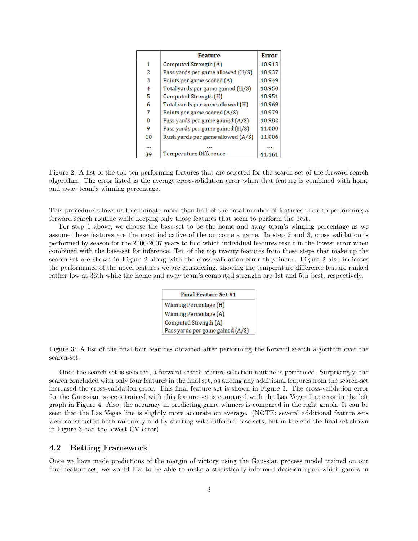|              | <b>Feature</b>                    | <b>Error</b> |
|--------------|-----------------------------------|--------------|
| $\mathbf{1}$ | Computed Strength (A)             | 10.913       |
| 2            | Pass yards per game allowed (H/S) | 10.937       |
| 3            | Points per game scored (A)        | 10.949       |
| 4            | Total yards per game gained (H/S) | 10.950       |
| 5            | Computed Strength (H)             | 10.951       |
| 6            | Total yards per game allowed (H)  | 10.969       |
| 7            | Points per game scored (A/S)      | 10.979       |
| 8            | Pass yards per game gained (A/S)  | 10.982       |
| 9            | Pass yards per game gained (H/S)  | 11.000       |
| 10           | Rush yards per game allowed (A/S) | 11.006       |
|              |                                   |              |
| 39           | <b>Temperature Difference</b>     | 11.161       |

Figure 2: A list of the top ten performing features that are selected for the search-set of the forward search algorithm. The error listed is the average cross-validation error when that feature is combined with home and away team's winning percentage.

This procedure allows us to eliminate more than half of the total number of features prior to performing a forward search routine while keeping only those features that seem to perform the best.

For step 1 above, we choose the base-set to be the home and away team's winning percentage as we assume these features are the most indicative of the outcome a game. In step 2 and 3, cross validation is performed by season for the 2000-2007 years to find which individual features result in the lowest error when combined with the base-set for inference. Ten of the top twenty features from these steps that make up the search-set are shown in Figure 2 along with the cross-validation error they incur. Figure 2 also indicates the performance of the novel features we are considering, showing the temperature difference feature ranked rather low at 36th while the home and away team's computed strength are 1st and 5th best, respectively.

| <b>Final Feature Set #1</b>      |  |  |  |  |
|----------------------------------|--|--|--|--|
| Winning Percentage (H)           |  |  |  |  |
| Winning Percentage (A)           |  |  |  |  |
| Computed Strength (A)            |  |  |  |  |
| Pass yards per game gained (A/S) |  |  |  |  |

Figure 3: A list of the final four features obtained after performing the forward search algorithm over the search-set.

Once the search-set is selected, a forward search feature selection routine is performed. Surprisingly, the search concluded with only four features in the final set, as adding any additional features from the search-set increased the cross-validation error. This final feature set is shown in Figure 3. The cross-validation error for the Gaussian process trained with this feature set is compared with the Las Vegas line error in the left graph in Figure 4. Also, the accuracy in predicting game winners is compared in the right graph. It can be seen that the Las Vegas line is slightly more accurate on average. (NOTE: several additional feature sets were constructed both randomly and by starting with different base-sets, but in the end the final set shown in Figure 3 had the lowest CV error)

#### 4.2 Betting Framework

Once we have made predictions of the margin of victory using the Gaussian process model trained on our final feature set, we would like to be able to make a statistically-informed decision upon which games in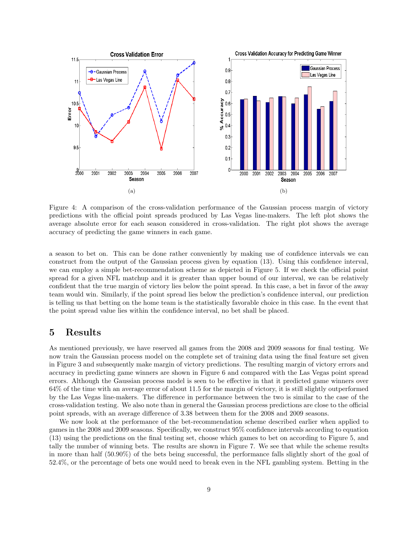

Figure 4: A comparison of the cross-validation performance of the Gaussian process margin of victory predictions with the official point spreads produced by Las Vegas line-makers. The left plot shows the average absolute error for each season considered in cross-validation. The right plot shows the average accuracy of predicting the game winners in each game.

a season to bet on. This can be done rather conveniently by making use of confidence intervals we can construct from the output of the Gaussian process given by equation (13). Using this confidence interval, we can employ a simple bet-recommendation scheme as depicted in Figure 5. If we check the official point spread for a given NFL matchup and it is greater than upper bound of our interval, we can be relatively confident that the true margin of victory lies below the point spread. In this case, a bet in favor of the away team would win. Similarly, if the point spread lies below the prediction's confidence interval, our prediction is telling us that betting on the home team is the statistically favorable choice in this case. In the event that the point spread value lies within the confidence interval, no bet shall be placed.

### 5 Results

As mentioned previously, we have reserved all games from the 2008 and 2009 seasons for final testing. We now train the Gaussian process model on the complete set of training data using the final feature set given in Figure 3 and subsequently make margin of victory predictions. The resulting margin of victory errors and accuracy in predicting game winners are shown in Figure 6 and compared with the Las Vegas point spread errors. Although the Gaussian process model is seen to be effective in that it predicted game winners over 64% of the time with an average error of about 11.5 for the margin of victory, it is still slightly outperformed by the Las Vegas line-makers. The difference in performance between the two is similar to the case of the cross-validation testing. We also note than in general the Gaussian process predictions are close to the official point spreads, with an average difference of 3.38 between them for the 2008 and 2009 seasons.

We now look at the performance of the bet-recommendation scheme described earlier when applied to games in the 2008 and 2009 seasons. Specifically, we construct 95% confidence intervals according to equation (13) using the predictions on the final testing set, choose which games to bet on according to Figure 5, and tally the number of winning bets. The results are shown in Figure 7. We see that while the scheme results in more than half (50.90%) of the bets being successful, the performance falls slightly short of the goal of 52.4%, or the percentage of bets one would need to break even in the NFL gambling system. Betting in the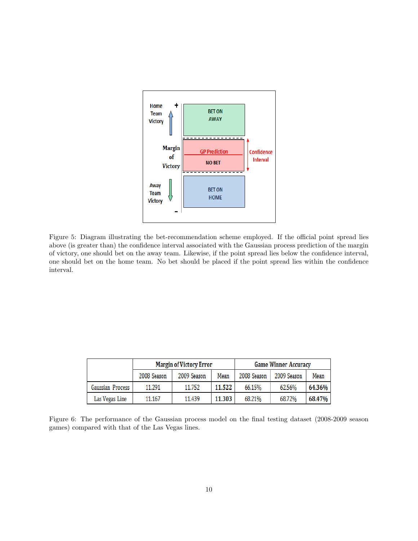

Figure 5: Diagram illustrating the bet-recommendation scheme employed. If the official point spread lies above (is greater than) the confidence interval associated with the Gaussian process prediction of the margin of victory, one should bet on the away team. Likewise, if the point spread lies below the confidence interval, one should bet on the home team. No bet should be placed if the point spread lies within the confidence interval.

|                  | <b>Margin of Victory Error</b> |             |        | <b>Game Winner Accuracy</b> |             |        |
|------------------|--------------------------------|-------------|--------|-----------------------------|-------------|--------|
|                  | 2008 Season                    | 2009 Season | Mean   | 2008 Season                 | 2009 Season | Mean   |
| Gaussian Process | 11.291                         | 11.752      | 11.522 | 66.15%                      | 62.56%      | 64.36% |
| Las Vegas Line   | 11.167                         | 11.439      | 11.303 | 68.21%                      | 68.72%      | 68.47% |

Figure 6: The performance of the Gaussian process model on the final testing dataset (2008-2009 season games) compared with that of the Las Vegas lines.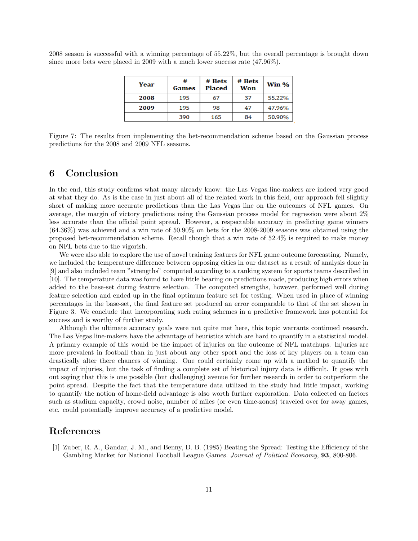2008 season is successful with a winning percentage of 55.22%, but the overall percentage is brought down since more bets were placed in 2009 with a much lower success rate (47.96%).

| Year | #<br>Games | # Bets<br><b>Placed</b> | # Bets<br>Won | Win %  |
|------|------------|-------------------------|---------------|--------|
| 2008 | 195        | 67                      | 37            | 55.22% |
| 2009 | 195        | 98                      | 47            | 47.96% |
|      | 390        | 165                     | 84            | 50.90% |

Figure 7: The results from implementing the bet-recommendation scheme based on the Gaussian process predictions for the 2008 and 2009 NFL seasons.

#### 6 Conclusion

In the end, this study confirms what many already know: the Las Vegas line-makers are indeed very good at what they do. As is the case in just about all of the related work in this field, our approach fell slightly short of making more accurate predictions than the Las Vegas line on the outcomes of NFL games. On average, the margin of victory predictions using the Gaussian process model for regression were about 2% less accurate than the official point spread. However, a respectable accuracy in predicting game winners  $(64.36\%)$  was achieved and a win rate of  $50.90\%$  on bets for the 2008-2009 seasons was obtained using the proposed bet-recommendation scheme. Recall though that a win rate of 52.4% is required to make money on NFL bets due to the vigorish.

We were also able to explore the use of novel training features for NFL game outcome forecasting. Namely, we included the temperature difference between opposing cities in our dataset as a result of analysis done in [9] and also included team "strengths" computed according to a ranking system for sports teams described in [10]. The temperature data was found to have little bearing on predictions made, producing high errors when added to the base-set during feature selection. The computed strengths, however, performed well during feature selection and ended up in the final optimum feature set for testing. When used in place of winning percentages in the base-set, the final feature set produced an error comparable to that of the set shown in Figure 3. We conclude that incorporating such rating schemes in a predictive framework has potential for success and is worthy of further study.

Although the ultimate accuracy goals were not quite met here, this topic warrants continued research. The Las Vegas line-makers have the advantage of heuristics which are hard to quantify in a statistical model. A primary example of this would be the impact of injuries on the outcome of NFL matchups. Injuries are more prevalent in football than in just about any other sport and the loss of key players on a team can drastically alter there chances of winning. One could certainly come up with a method to quantify the impact of injuries, but the task of finding a complete set of historical injury data is difficult. It goes with out saying that this is one possible (but challenging) avenue for further research in order to outperform the point spread. Despite the fact that the temperature data utilized in the study had little impact, working to quantify the notion of home-field advantage is also worth further exploration. Data collected on factors such as stadium capacity, crowd noise, number of miles (or even time-zones) traveled over for away games, etc. could potentially improve accuracy of a predictive model.

### References

[1] Zuber, R. A., Gandar, J. M., and Benny, D. B. (1985) Beating the Spread: Testing the Efficiency of the Gambling Market for National Football League Games. Journal of Political Economy, 93, 800-806.